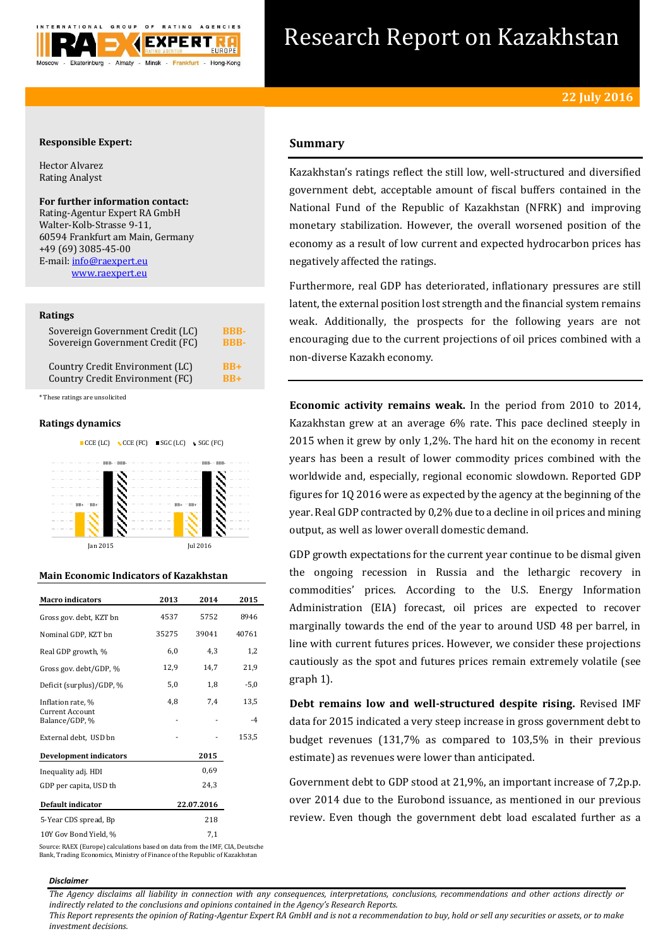

# Research Report on Kazakhstan

# **Responsible Expert:**

Hector Alvarez Rating Analyst

# **For further information contact:**

Rating-Agentur Expert RA GmbH Walter-Kolb-Strasse 9-11, 60594 Frankfurt am Main, Germany +49 (69) 3085-45-00 E-mail[: info@raexpert.eu](mailto:info@raexpert.eu) [www.raexpert.eu](http://raexpert.eu/)

# **Ratings**

| Sovereign Government Credit (LC) | <b>BBB-</b> |
|----------------------------------|-------------|
| Sovereign Government Credit (FC) | <b>RRR-</b> |
| Country Credit Environment (LC)  | $RB+$       |
| Country Credit Environment (FC)  | $RB+$       |

\* These ratings are unsolicited

# **Ratings dynamics**



# **Main Economic Indicators of Kazakhstan**

| <b>Macro</b> indicators           | 2013  | 2014       | 2015   |
|-----------------------------------|-------|------------|--------|
| Gross gov. debt, KZT bn           | 4537  | 5752       | 8946   |
| Nominal GDP, KZT bn               | 35275 | 39041      | 40761  |
| Real GDP growth, %                | 6,0   | 4,3        | 1,2    |
| Gross gov. debt/GDP, %            | 12,9  | 14,7       | 21,9   |
| Deficit (surplus)/GDP, %          | 5,0   | 1,8        | $-5,0$ |
| Inflation rate, %                 | 4,8   | 7,4        | 13,5   |
| Current Account<br>Balance/GDP, % |       |            | $-4$   |
| External debt, USD bn             |       |            | 153,5  |
| <b>Development indicators</b>     |       | 2015       |        |
| Inequality adj. HDI               |       | 0.69       |        |
| GDP per capita, USD th            |       | 24,3       |        |
| Default indicator                 |       | 22.07.2016 |        |
| 5-Year CDS spread, Bp             |       | 218        |        |
| 10Y Gov Bond Yield, %             |       | 7,1        |        |

# **Summary**

Kazakhstan's ratings reflect the still low, well-structured and diversified government debt, acceptable amount of fiscal buffers contained in the National Fund of the Republic of Kazakhstan (NFRK) and improving monetary stabilization. However, the overall worsened position of the economy as a result of low current and expected hydrocarbon prices has negatively affected the ratings.

Furthermore, real GDP has deteriorated, inflationary pressures are still latent, the external position lost strength and the financial system remains weak. Additionally, the prospects for the following years are not encouraging due to the current projections of oil prices combined with a non-diverse Kazakh economy.

**Economic activity remains weak.** In the period from 2010 to 2014, Kazakhstan grew at an average 6% rate. This pace declined steeply in 2015 when it grew by only 1,2%. The hard hit on the economy in recent years has been a result of lower commodity prices combined with the worldwide and, especially, regional economic slowdown. Reported GDP figures for 1Q 2016 were as expected by the agency at the beginning of the year. Real GDP contracted by 0,2% due to a decline in oil prices and mining output, as well as lower overall domestic demand.

GDP growth expectations for the current year continue to be dismal given the ongoing recession in Russia and the lethargic recovery in commodities' prices. According to the U.S. Energy Information Administration (EIA) forecast, oil prices are expected to recover marginally towards the end of the year to around USD 48 per barrel, in line with current futures prices. However, we consider these projections cautiously as the spot and futures prices remain extremely volatile (see graph 1).

**Debt remains low and well-structured despite rising.** Revised IMF data for 2015 indicated a very steep increase in gross government debt to budget revenues (131,7% as compared to 103,5% in their previous estimate) as revenues were lower than anticipated.

Government debt to GDP stood at 21,9%, an important increase of 7,2p.p. over 2014 due to the Eurobond issuance, as mentioned in our previous review. Even though the government debt load escalated further as a

Source: RAEX (Europe) calculations based on data from the IMF, CIA, Deutsche Bank, Trading Economics, Ministry of Finance of the Republic of Kazakhstan

*Disclaimer* 

*The Agency disclaims all liability in connection with any consequences, interpretations, conclusions, recommendations and other actions directly or indirectly related to the conclusions and opinions contained in the Agency's Research Reports.*

*This Report represents the opinion of Rating-Agentur Expert RA GmbH and is not a recommendation to buy, hold or sell any securities or assets, or to make investment decisions.*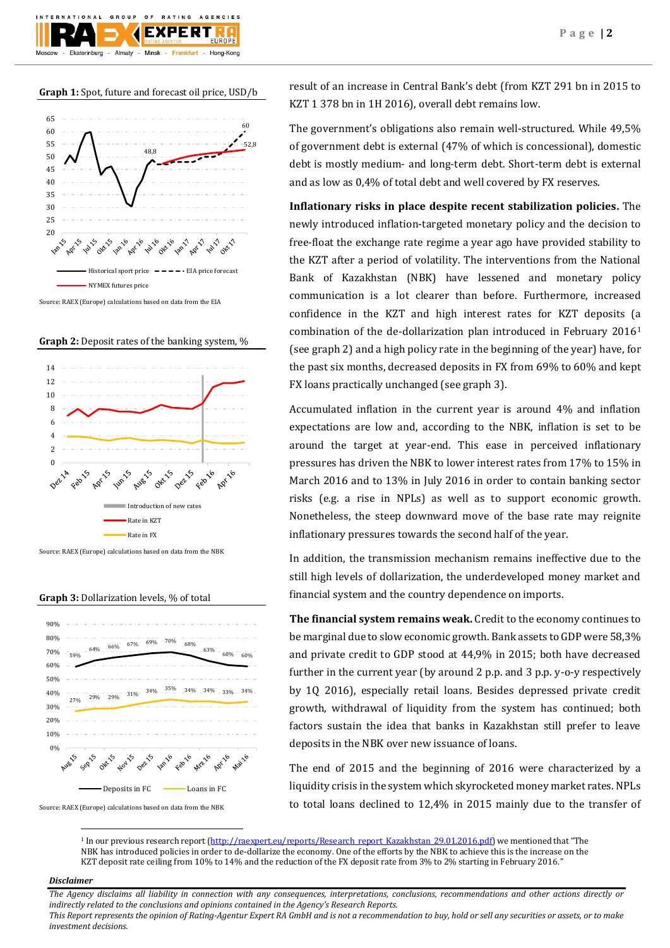# **Graph 1:** Spot, future and forecast oil price, USD/b

Almaty - Minsk -

 $O F$ 

**BATING EXPERT** 

Frankfurt -

GROUP

Ekaterinburg

AGENCIES

Hong-Kong



Source: RAEX (Europe) calculations based on data from the EIA





Source: RAEX (Europe) calculations based on data from the NBK

**Graph 3:** Dollarization levels, % of total



Source: RAEX (Europe) calculations based on data from the NBK

result of an increase in Central Bank's debt (from KZT 291 bn in 2015 to KZT 1 378 bn in 1H 2016), overall debt remains low.

The government's obligations also remain well-structured. While 49,5% of government debt is external (47% of which is concessional), domestic debt is mostly medium- and long-term debt. Short-term debt is external and as low as 0,4% of total debt and well covered by FX reserves.

**Inflationary risks in place despite recent stabilization policies.** The newly introduced inflation-targeted monetary policy and the decision to free-float the exchange rate regime a year ago have provided stability to the KZT after a period of volatility. The interventions from the National Bank of Kazakhstan (NBK) have lessened and monetary policy communication is a lot clearer than before. Furthermore, increased confidence in the KZT and high interest rates for KZT deposits (a combination of the de-dollarization plan introduced in February 2016<sup>1</sup> (see graph 2) and a high policy rate in the beginning of the year) have, for the past six months, decreased deposits in FX from 69% to 60% and kept FX loans practically unchanged (see graph 3).

Accumulated inflation in the current year is around 4% and inflation expectations are low and, according to the NBK, inflation is set to be around the target at year-end. This ease in perceived inflationary pressures has driven the NBK to lower interest rates from 17% to 15% in March 2016 and to 13% in July 2016 in order to contain banking sector risks (e.g. a rise in NPLs) as well as to support economic growth. Nonetheless, the steep downward move of the base rate may reignite inflationary pressures towards the second half of the year.

In addition, the transmission mechanism remains ineffective due to the still high levels of dollarization, the underdeveloped money market and financial system and the country dependence on imports.

**The financial system remains weak.** Credit to the economy continues to be marginal due to slow economic growth. Bank assets to GDP were 58,3% and private credit to GDP stood at 44,9% in 2015; both have decreased further in the current year (by around 2 p.p. and 3 p.p. y-o-y respectively by 1Q 2016), especially retail loans. Besides depressed private credit growth, withdrawal of liquidity from the system has continued; both factors sustain the idea that banks in Kazakhstan still prefer to leave deposits in the NBK over new issuance of loans.

The end of 2015 and the beginning of 2016 were characterized by a liquidity crisis in the system which skyrocketed money market rates. NPLs to total loans declined to 12,4% in 2015 mainly due to the transfer of

<sup>1</sup> In our previous research report [\(http://raexpert.eu/reports/Research\\_report\\_Kazakhstan\\_29.01.2016.pdf\)](http://raexpert.eu/reports/Research_report_Kazakhstan_29.01.2016.pdf) we mentioned that "The NBK has introduced policies in order to de-dollarize the economy. One of the efforts by the NBK to achieve this is the increase on the KZT deposit rate ceiling from 10% to 14% and the reduction of the FX deposit rate from 3% to 2% starting in February 2016."

## *Disclaimer*

1

*The Agency disclaims all liability in connection with any consequences, interpretations, conclusions, recommendations and other actions directly or indirectly related to the conclusions and opinions contained in the Agency's Research Reports.*

*This Report represents the opinion of Rating-Agentur Expert RA GmbH and is not a recommendation to buy, hold or sell any securities or assets, or to make investment decisions.*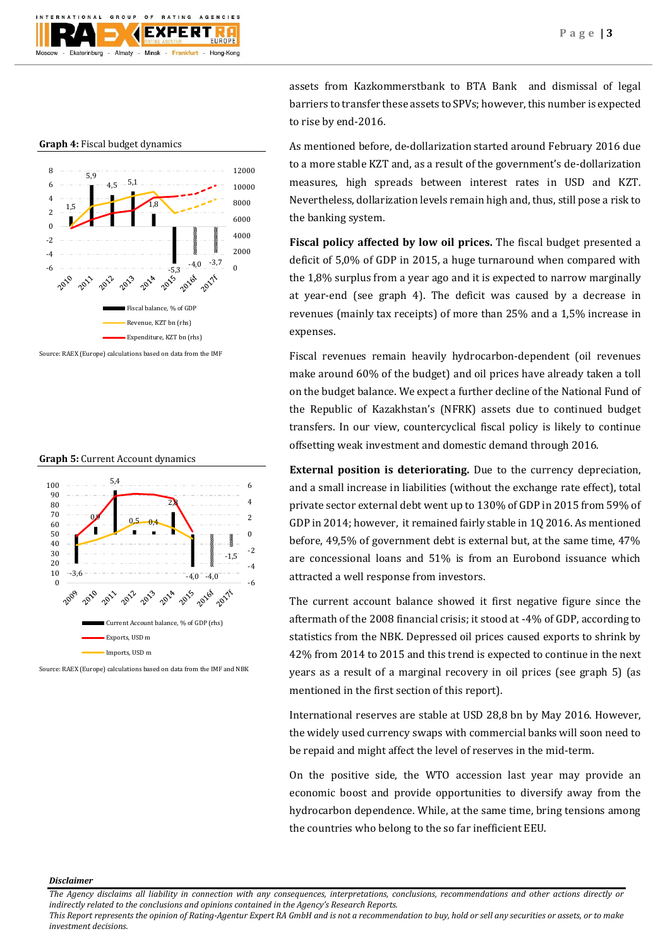

#### **Graph 4:** Fiscal budget dynamics



Source: RAEX (Europe) calculations based on data from the IMF

## **Graph 5:** Current Account dynamics



Source: RAEX (Europe) calculations based on data from the IMF and NBK

assets from Kazkommerstbank to BTA Bank and dismissal of legal barriers to transfer these assets to SPVs; however, this number is expected to rise by end-2016.

As mentioned before, de-dollarization started around February 2016 due to a more stable KZT and, as a result of the government's de-dollarization measures, high spreads between interest rates in USD and KZT. Nevertheless, dollarization levels remain high and, thus, still pose a risk to the banking system.

**Fiscal policy affected by low oil prices.** The fiscal budget presented a deficit of 5,0% of GDP in 2015, a huge turnaround when compared with the 1,8% surplus from a year ago and it is expected to narrow marginally at year-end (see graph 4). The deficit was caused by a decrease in revenues (mainly tax receipts) of more than 25% and a 1,5% increase in expenses.

Fiscal revenues remain heavily hydrocarbon-dependent (oil revenues make around 60% of the budget) and oil prices have already taken a toll on the budget balance. We expect a further decline of the National Fund of the Republic of Kazakhstan's (NFRK) assets due to continued budget transfers. In our view, countercyclical fiscal policy is likely to continue offsetting weak investment and domestic demand through 2016.

**External position is deteriorating.** Due to the currency depreciation, and a small increase in liabilities (without the exchange rate effect), total private sector external debt went up to 130% of GDP in 2015 from 59% of GDP in 2014; however, it remained fairly stable in 1Q 2016. As mentioned before, 49,5% of government debt is external but, at the same time, 47% are concessional loans and 51% is from an Eurobond issuance which attracted a well response from investors.

The current account balance showed it first negative figure since the aftermath of the 2008 financial crisis; it stood at -4% of GDP, according to statistics from the NBK. Depressed oil prices caused exports to shrink by 42% from 2014 to 2015 and this trend is expected to continue in the next years as a result of a marginal recovery in oil prices (see graph 5) (as mentioned in the first section of this report).

International reserves are stable at USD 28,8 bn by May 2016. However, the widely used currency swaps with commercial banks will soon need to be repaid and might affect the level of reserves in the mid-term.

On the positive side, the WTO accession last year may provide an economic boost and provide opportunities to diversify away from the hydrocarbon dependence. While, at the same time, bring tensions among the countries who belong to the so far inefficient EEU.

*Disclaimer* 

*The Agency disclaims all liability in connection with any consequences, interpretations, conclusions, recommendations and other actions directly or indirectly related to the conclusions and opinions contained in the Agency's Research Reports.*

*This Report represents the opinion of Rating-Agentur Expert RA GmbH and is not a recommendation to buy, hold or sell any securities or assets, or to make investment decisions.*